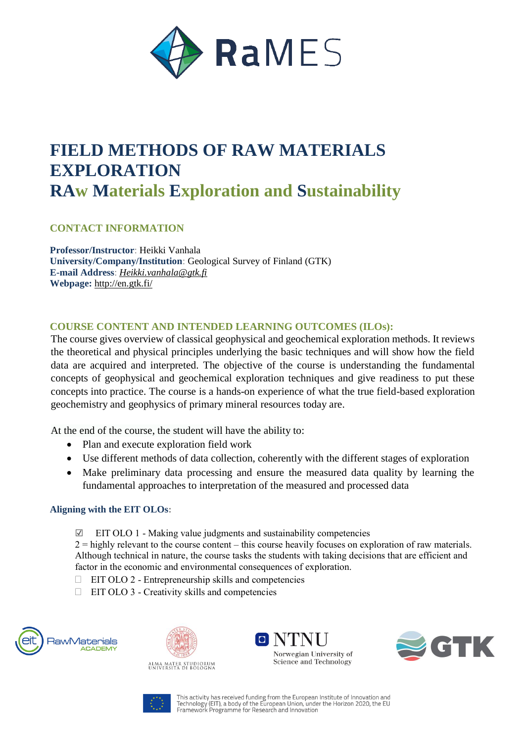

# **FIELD METHODS OF RAW MATERIALS EXPLORATION RAw Materials Exploration and Sustainability**

# **CONTACT INFORMATION**

**Professor/Instructor**: Heikki Vanhala **University/Company/Institution**: Geological Survey of Finland (GTK) **E-mail Address**: *Heikki.vanhala@gtk.fi* **Webpage:** http://en.gtk.fi/

## **COURSE CONTENT AND INTENDED LEARNING OUTCOMES (ILOs):**

The course gives overview of classical geophysical and geochemical exploration methods. It reviews the theoretical and physical principles underlying the basic techniques and will show how the field data are acquired and interpreted. The objective of the course is understanding the fundamental concepts of geophysical and geochemical exploration techniques and give readiness to put these concepts into practice. The course is a hands-on experience of what the true field-based exploration geochemistry and geophysics of primary mineral resources today are.

At the end of the course, the student will have the ability to:

- Plan and execute exploration field work
- Use different methods of data collection, coherently with the different stages of exploration
- Make preliminary data processing and ensure the measured data quality by learning the fundamental approaches to interpretation of the measured and processed data

#### **Aligning with the EIT OLOs:**

☑ EIT OLO 1 - Making value judgments and sustainability competencies

 $2 =$  highly relevant to the course content – this course heavily focuses on exploration of raw materials. Although technical in nature, the course tasks the students with taking decisions that are efficient and factor in the economic and environmental consequences of exploration.

- $\Box$  EIT OLO 2 Entrepreneurship skills and competencies
- $\Box$  EIT OLO 3 Creativity skills and competencies





ALMA MATER STUDIORUM<br>UNIVERSITÀ DI BOLOGNA





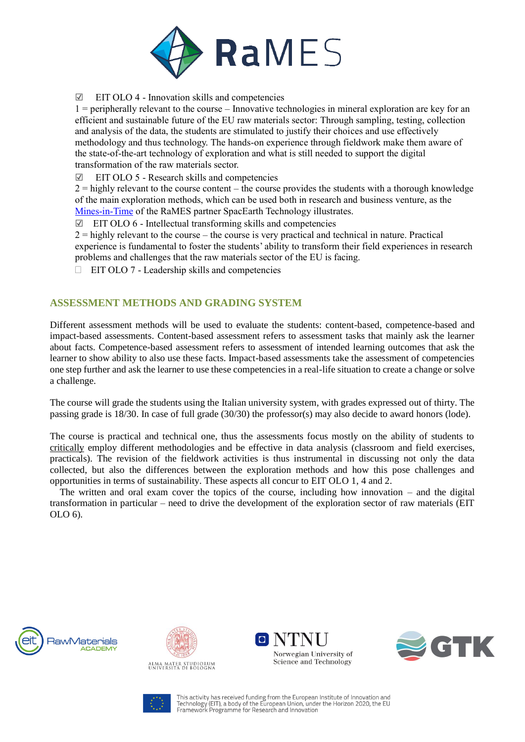

☑ EIT OLO 4 - Innovation skills and competencies

1 = peripherally relevant to the course – Innovative technologies in mineral exploration are key for an efficient and sustainable future of the EU raw materials sector: Through sampling, testing, collection and analysis of the data, the students are stimulated to justify their choices and use effectively methodology and thus technology. The hands-on experience through fieldwork make them aware of the state-of-the-art technology of exploration and what is still needed to support the digital transformation of the raw materials sector.

☑ EIT OLO 5 - Research skills and competencies

 $2 =$  highly relevant to the course content – the course provides the students with a thorough knowledge of the main exploration methods, which can be used both in research and business venture, as the [Mines-in-Time](https://eitrawmaterials.eu/spacearth-technology-start-up-delivers-mines-in-time/) of the RaMES partner SpacEarth Technology illustrates.

☑ EIT OLO 6 - Intellectual transforming skills and competencies

 $2 =$  highly relevant to the course – the course is very practical and technical in nature. Practical experience is fundamental to foster the students' ability to transform their field experiences in research problems and challenges that the raw materials sector of the EU is facing.

 $\Box$  EIT OLO 7 - Leadership skills and competencies

## **ASSESSMENT METHODS AND GRADING SYSTEM**

Different assessment methods will be used to evaluate the students: content-based, competence-based and impact-based assessments. Content-based assessment refers to assessment tasks that mainly ask the learner about facts. Competence-based assessment refers to assessment of intended learning outcomes that ask the learner to show ability to also use these facts. Impact-based assessments take the assessment of competencies one step further and ask the learner to use these competencies in a real-life situation to create a change or solve a challenge.

The course will grade the students using the Italian university system, with grades expressed out of thirty. The passing grade is 18/30. In case of full grade (30/30) the professor(s) may also decide to award honors (lode).

The course is practical and technical one, thus the assessments focus mostly on the ability of students to critically employ different methodologies and be effective in data analysis (classroom and field exercises, practicals). The revision of the fieldwork activities is thus instrumental in discussing not only the data collected, but also the differences between the exploration methods and how this pose challenges and opportunities in terms of sustainability. These aspects all concur to EIT OLO 1, 4 and 2.

 The written and oral exam cover the topics of the course, including how innovation – and the digital transformation in particular – need to drive the development of the exploration sector of raw materials (EIT OLO 6).



ALMA MATER STUDIORUM<br>Università di Bologna





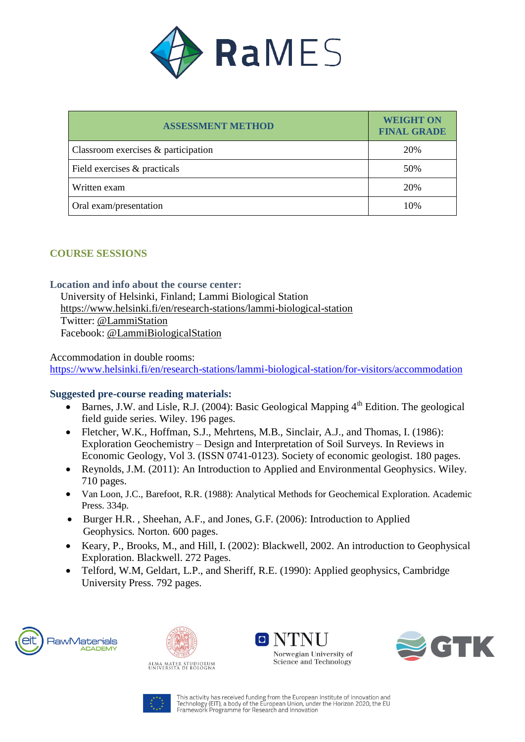

| <b>ASSESSMENT METHOD</b>            | <b>WEIGHT ON</b><br><b>FINAL GRADE</b> |
|-------------------------------------|----------------------------------------|
| Classroom exercises & participation | 20%                                    |
| Field exercises & practicals        | 50%                                    |
| Written exam                        | 20%                                    |
| Oral exam/presentation              | 10%                                    |

## **COURSE SESSIONS**

#### **Location and info about the course center:**

 University of Helsinki, Finland; Lammi Biological Station <https://www.helsinki.fi/en/research-stations/lammi-biological-station> Twitter: [@LammiStation](https://twitter.com/LammiStation) Facebook: [@LammiBiologicalStation](https://www.facebook.com/LammiBiologicalStation/)

Accommodation in double rooms: <https://www.helsinki.fi/en/research-stations/lammi-biological-station/for-visitors/accommodation>

### **Suggested pre-course reading materials:**

- $\bullet$  Barnes, J.W. and Lisle, R.J. (2004): Basic Geological Mapping  $4<sup>th</sup>$  Edition. The geological field guide series. Wiley. 196 pages.
- Fletcher, W.K., Hoffman, S.J., Mehrtens, M.B., Sinclair, A.J., and Thomas, I. (1986): Exploration Geochemistry – Design and Interpretation of Soil Surveys. In Reviews in Economic Geology, Vol 3. (ISSN 0741-0123). Society of economic geologist. 180 pages.
- Reynolds, J.M. (2011): An Introduction to Applied and Environmental Geophysics. Wiley. 710 pages.
- Van Loon, J.C., Barefoot, R.R. (1988): Analytical Methods for Geochemical Exploration. Academic Press. 334p.
- Burger H.R. , Sheehan, A.F., and Jones, G.F. (2006): Introduction to Applied Geophysics*.* Norton*.* 600 pages.
- Keary, P., Brooks, M., and Hill, I. (2002): Blackwell, 2002. An introduction to Geophysical Exploration. Blackwell. 272 Pages.
- [Telford,](https://www.google.fi/search?hl=fi&tbo=p&tbm=bks&q=inauthor:%22W.+M.+Telford%22) W.M, Geldart, L.P., and Sheriff, R.E. (1990): Applied geophysics, Cambridge University Press. 792 pages.





O N'I'l Norwegian University of Science and Technology



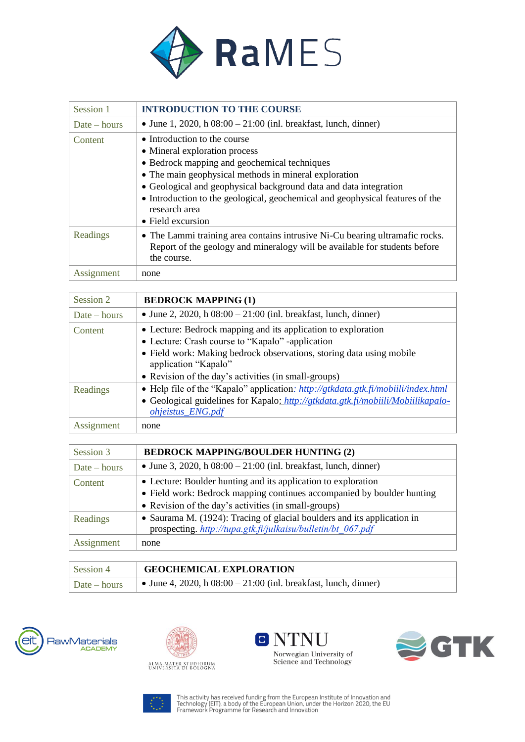

| Session 1      | <b>INTRODUCTION TO THE COURSE</b>                                                                                                                                                                                                                                                                                                                                  |
|----------------|--------------------------------------------------------------------------------------------------------------------------------------------------------------------------------------------------------------------------------------------------------------------------------------------------------------------------------------------------------------------|
| $Date - hours$ | • June 1, 2020, h $08:00 - 21:00$ (inl. breakfast, lunch, dinner)                                                                                                                                                                                                                                                                                                  |
| Content        | • Introduction to the course<br>• Mineral exploration process<br>• Bedrock mapping and geochemical techniques<br>• The main geophysical methods in mineral exploration<br>• Geological and geophysical background data and data integration<br>• Introduction to the geological, geochemical and geophysical features of the<br>research area<br>• Field excursion |
| Readings       | • The Lammi training area contains intrusive Ni-Cu bearing ultramafic rocks.<br>Report of the geology and mineralogy will be available for students before<br>the course.                                                                                                                                                                                          |
| Assignment     | none                                                                                                                                                                                                                                                                                                                                                               |

| Session 2      | <b>BEDROCK MAPPING (1)</b>                                                                                                                                                                                                                                                |
|----------------|---------------------------------------------------------------------------------------------------------------------------------------------------------------------------------------------------------------------------------------------------------------------------|
| $Date - hours$ | • June 2, 2020, h $08:00 - 21:00$ (inl. breakfast, lunch, dinner)                                                                                                                                                                                                         |
| Content        | • Lecture: Bedrock mapping and its application to exploration<br>• Lecture: Crash course to "Kapalo" -application<br>• Field work: Making bedrock observations, storing data using mobile<br>application "Kapalo"<br>• Revision of the day's activities (in small-groups) |
| Readings       | • Help file of the "Kapalo" application: http://gtkdata.gtk.fi/mobilli/index.html<br>• Geological guidelines for Kapalo: http://gtkdata.gtk.fi/mobiili/Mobiilikapalo-<br><i>ohjeistus_ENG.pdf</i>                                                                         |
| Assignment     | none                                                                                                                                                                                                                                                                      |

| Session 3      | <b>BEDROCK MAPPING/BOULDER HUNTING (2)</b>                                                                                                                                                      |
|----------------|-------------------------------------------------------------------------------------------------------------------------------------------------------------------------------------------------|
| $Date - hours$ | • June 3, 2020, h $08:00 - 21:00$ (inl. breakfast, lunch, dinner)                                                                                                                               |
| Content        | • Lecture: Boulder hunting and its application to exploration<br>• Field work: Bedrock mapping continues accompanied by boulder hunting<br>• Revision of the day's activities (in small-groups) |
| Readings       | • Saurama M. (1924): Tracing of glacial boulders and its application in<br>prospecting. http://tupa.gtk.fi/julkaisu/bulletin/bt 067.pdf                                                         |
| Assignment     | none                                                                                                                                                                                            |

| Session 4    | <b>GEOCHEMICAL EXPLORATION</b>                                    |
|--------------|-------------------------------------------------------------------|
| Date – hours | • June 4, 2020, h $08:00 - 21:00$ (inl. breakfast, lunch, dinner) |









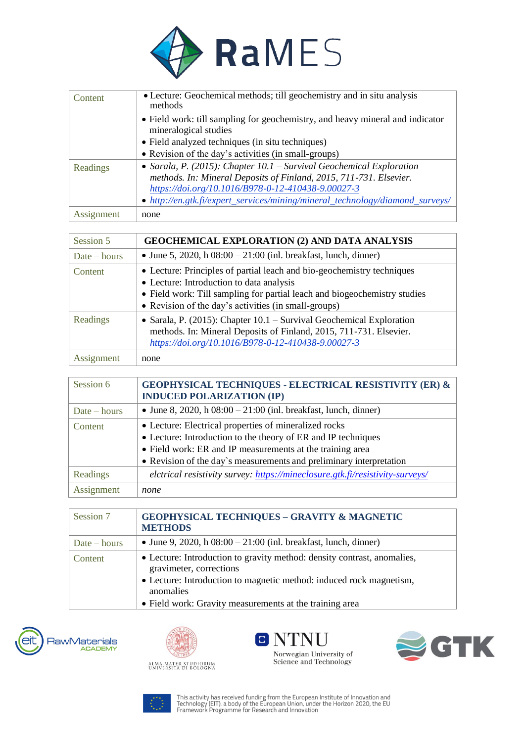

| Content    | • Lecture: Geochemical methods; till geochemistry and in situ analysis<br>methods                      |
|------------|--------------------------------------------------------------------------------------------------------|
|            | • Field work: till sampling for geochemistry, and heavy mineral and indicator<br>mineralogical studies |
|            | • Field analyzed techniques (in situ techniques)                                                       |
|            | • Revision of the day's activities (in small-groups)                                                   |
| Readings   | • Sarala, P. (2015): Chapter $10.1$ – Survival Geochemical Exploration                                 |
|            | methods. In: Mineral Deposits of Finland, 2015, 711-731. Elsevier.                                     |
|            | https://doi.org/10.1016/B978-0-12-410438-9.00027-3                                                     |
|            | • http://en.gtk.fi/expert_services/mining/mineral_technology/diamond_surveys/                          |
| Assignment | none                                                                                                   |

| Session 5      | <b>GEOCHEMICAL EXPLORATION (2) AND DATA ANALYSIS</b>                                                                                                                                                                                                    |
|----------------|---------------------------------------------------------------------------------------------------------------------------------------------------------------------------------------------------------------------------------------------------------|
| $Date - hours$ | • June 5, 2020, h $08:00 - 21:00$ (inl. breakfast, lunch, dinner)                                                                                                                                                                                       |
| Content        | • Lecture: Principles of partial leach and bio-geochemistry techniques<br>• Lecture: Introduction to data analysis<br>• Field work: Till sampling for partial leach and biogeochemistry studies<br>• Revision of the day's activities (in small-groups) |
| Readings       | • Sarala, P. (2015): Chapter $10.1$ – Survival Geochemical Exploration<br>methods. In: Mineral Deposits of Finland, 2015, 711-731. Elsevier.<br>https://doi.org/10.1016/B978-0-12-410438-9.00027-3                                                      |
| Assignment     | none                                                                                                                                                                                                                                                    |

| Session 6      | <b>GEOPHYSICAL TECHNIQUES - ELECTRICAL RESISTIVITY (ER) &amp;</b><br><b>INDUCED POLARIZATION (IP)</b> |
|----------------|-------------------------------------------------------------------------------------------------------|
| $Date - hours$ | • June 8, 2020, h $08:00 - 21:00$ (inl. breakfast, lunch, dinner)                                     |
| Content        | • Lecture: Electrical properties of mineralized rocks                                                 |
|                | • Lecture: Introduction to the theory of ER and IP techniques                                         |
|                | • Field work: ER and IP measurements at the training area                                             |
|                | • Revision of the day's measurements and preliminary interpretation                                   |
| Readings       | elctrical resistivity survey: https://mineclosure.gtk.fi/resistivity-surveys/                         |
| Assignment     | none                                                                                                  |

| Session 7      | <b>GEOPHYSICAL TECHNIQUES - GRAVITY &amp; MAGNETIC</b><br><b>METHODS</b>                                                                                                                                                                          |
|----------------|---------------------------------------------------------------------------------------------------------------------------------------------------------------------------------------------------------------------------------------------------|
| $Date - hours$ | • June 9, 2020, h $08:00 - 21:00$ (inl. breakfast, lunch, dinner)                                                                                                                                                                                 |
| Content        | • Lecture: Introduction to gravity method: density contrast, anomalies,<br>gravimeter, corrections<br>• Lecture: Introduction to magnetic method: induced rock magnetism,<br>anomalies<br>• Field work: Gravity measurements at the training area |









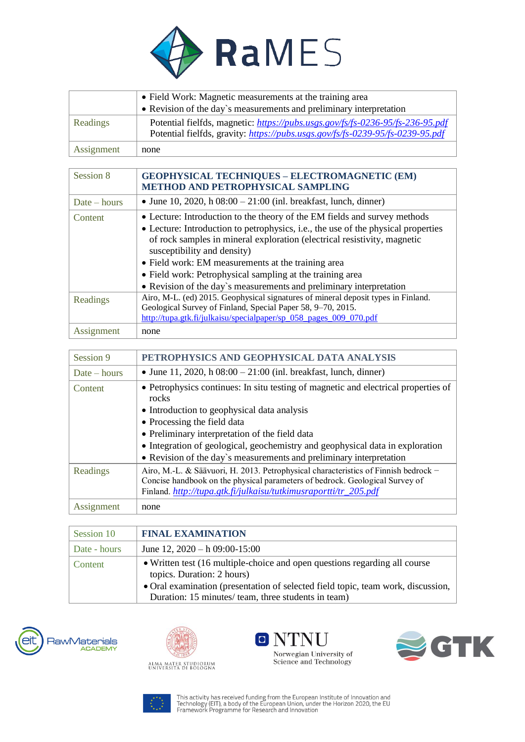

|            | • Field Work: Magnetic measurements at the training area<br>• Revision of the day's measurements and preliminary interpretation                                  |
|------------|------------------------------------------------------------------------------------------------------------------------------------------------------------------|
| Readings   | Potential fielfds, magnetic: https://pubs.usgs.gov/fs/fs-0236-95/fs-236-95.pdf<br>Potential fielfds, gravity: https://pubs.usgs.gov/fs/fs-0239-95/fs-0239-95.pdf |
| Assignment | none                                                                                                                                                             |

| Session 8      | <b>GEOPHYSICAL TECHNIQUES - ELECTROMAGNETIC (EM)</b><br><b>METHOD AND PETROPHYSICAL SAMPLING</b>                                                                                                                                                                                                                                                                                                                                                                    |
|----------------|---------------------------------------------------------------------------------------------------------------------------------------------------------------------------------------------------------------------------------------------------------------------------------------------------------------------------------------------------------------------------------------------------------------------------------------------------------------------|
| $Date - hours$ | • June 10, 2020, h $08:00 - 21:00$ (inl. breakfast, lunch, dinner)                                                                                                                                                                                                                                                                                                                                                                                                  |
| Content        | • Lecture: Introduction to the theory of the EM fields and survey methods<br>• Lecture: Introduction to petrophysics, i.e., the use of the physical properties<br>of rock samples in mineral exploration (electrical resistivity, magnetic<br>susceptibility and density)<br>• Field work: EM measurements at the training area<br>• Field work: Petrophysical sampling at the training area<br>• Revision of the day's measurements and preliminary interpretation |
| Readings       | Airo, M-L. (ed) 2015. Geophysical signatures of mineral deposit types in Finland.<br>Geological Survey of Finland, Special Paper 58, 9-70, 2015.<br>http://tupa.gtk.fi/julkaisu/specialpaper/sp 058 pages 009 070.pdf                                                                                                                                                                                                                                               |
| Assignment     | none                                                                                                                                                                                                                                                                                                                                                                                                                                                                |

| Session 9      | PETROPHYSICS AND GEOPHYSICAL DATA ANALYSIS                                                                                                                                                                                                                                                                   |
|----------------|--------------------------------------------------------------------------------------------------------------------------------------------------------------------------------------------------------------------------------------------------------------------------------------------------------------|
| $Date - hours$ | • June 11, 2020, h $08:00 - 21:00$ (inl. breakfast, lunch, dinner)                                                                                                                                                                                                                                           |
| Content        | • Petrophysics continues: In situ testing of magnetic and electrical properties of<br>rocks<br>• Introduction to geophysical data analysis<br>• Processing the field data<br>• Preliminary interpretation of the field data<br>• Integration of geological, geochemistry and geophysical data in exploration |
|                | • Revision of the day's measurements and preliminary interpretation                                                                                                                                                                                                                                          |
| Readings       | Airo, M.-L. & Säävuori, H. 2013. Petrophysical characteristics of Finnish bedrock -<br>Concise handbook on the physical parameters of bedrock. Geological Survey of<br>Finland. http://tupa.gtk.fi/julkaisu/tutkimusraportti/tr_205.pdf                                                                      |
| Assignment     | none                                                                                                                                                                                                                                                                                                         |

| Session 10   | <b>FINAL EXAMINATION</b>                                                                                                                                                                                                                            |
|--------------|-----------------------------------------------------------------------------------------------------------------------------------------------------------------------------------------------------------------------------------------------------|
| Date - hours | June 12, $2020 - h\ 09:00-15:00$                                                                                                                                                                                                                    |
| Content      | • Written test (16 multiple-choice and open questions regarding all course<br>topics. Duration: 2 hours)<br>• Oral examination (presentation of selected field topic, team work, discussion,<br>Duration: 15 minutes/ team, three students in team) |